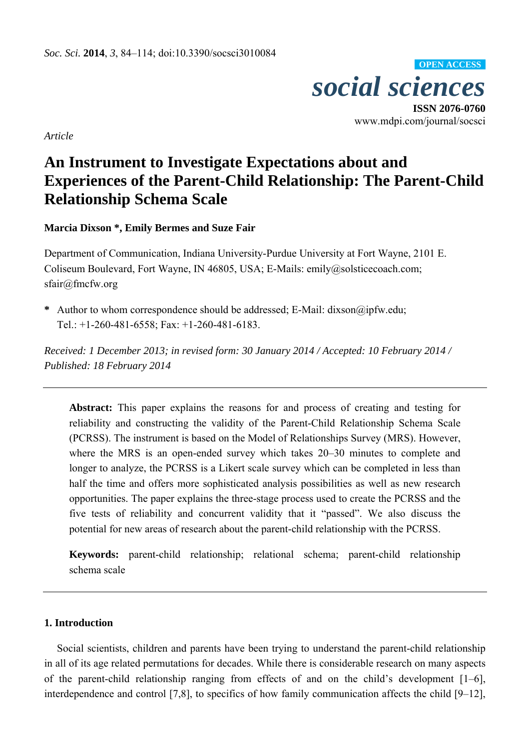

www.mdpi.com/journal/socsci

*Article*

# **An Instrument to Investigate Expectations about and Experiences of the Parent-Child Relationship: The Parent-Child Relationship Schema Scale**

**Marcia Dixson \*, Emily Bermes and Suze Fair** 

Department of Communication, Indiana University-Purdue University at Fort Wayne, 2101 E. Coliseum Boulevard, Fort Wayne, IN 46805, USA; E-Mails: emily@solsticecoach.com; sfair@fmcfw.org

**\*** Author to whom correspondence should be addressed; E-Mail: dixson@ipfw.edu; Tel.: +1-260-481-6558; Fax: +1-260-481-6183.

*Received: 1 December 2013; in revised form: 30 January 2014 / Accepted: 10 February 2014 / Published: 18 February 2014* 

**Abstract:** This paper explains the reasons for and process of creating and testing for reliability and constructing the validity of the Parent-Child Relationship Schema Scale (PCRSS). The instrument is based on the Model of Relationships Survey (MRS). However, where the MRS is an open-ended survey which takes 20–30 minutes to complete and longer to analyze, the PCRSS is a Likert scale survey which can be completed in less than half the time and offers more sophisticated analysis possibilities as well as new research opportunities. The paper explains the three-stage process used to create the PCRSS and the five tests of reliability and concurrent validity that it "passed". We also discuss the potential for new areas of research about the parent-child relationship with the PCRSS.

**Keywords:** parent-child relationship; relational schema; parent-child relationship schema scale

### **1. Introduction**

Social scientists, children and parents have been trying to understand the parent-child relationship in all of its age related permutations for decades. While there is considerable research on many aspects of the parent-child relationship ranging from effects of and on the child's development [1–6], interdependence and control [7,8], to specifics of how family communication affects the child [9–12],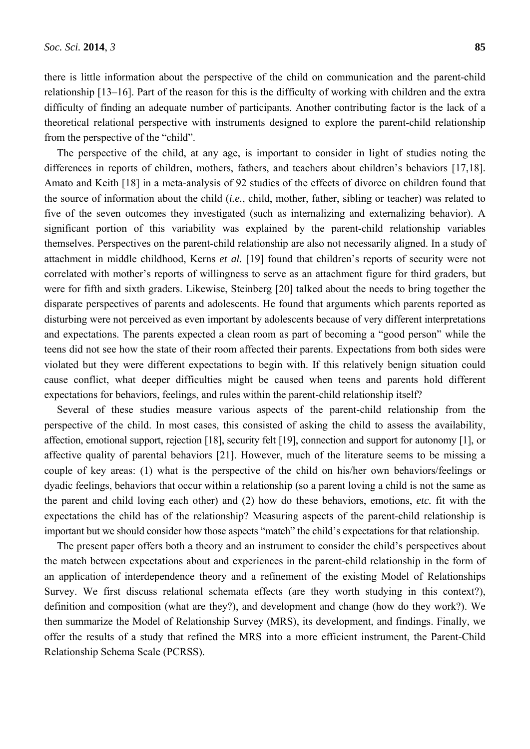there is little information about the perspective of the child on communication and the parent-child relationship [13–16]. Part of the reason for this is the difficulty of working with children and the extra difficulty of finding an adequate number of participants. Another contributing factor is the lack of a theoretical relational perspective with instruments designed to explore the parent-child relationship from the perspective of the "child".

The perspective of the child, at any age, is important to consider in light of studies noting the differences in reports of children, mothers, fathers, and teachers about children's behaviors [17,18]. Amato and Keith [18] in a meta-analysis of 92 studies of the effects of divorce on children found that the source of information about the child (*i.e.*, child, mother, father, sibling or teacher) was related to five of the seven outcomes they investigated (such as internalizing and externalizing behavior). A significant portion of this variability was explained by the parent-child relationship variables themselves. Perspectives on the parent-child relationship are also not necessarily aligned. In a study of attachment in middle childhood, Kerns *et al.* [19] found that children's reports of security were not correlated with mother's reports of willingness to serve as an attachment figure for third graders, but were for fifth and sixth graders. Likewise, Steinberg [20] talked about the needs to bring together the disparate perspectives of parents and adolescents. He found that arguments which parents reported as disturbing were not perceived as even important by adolescents because of very different interpretations and expectations. The parents expected a clean room as part of becoming a "good person" while the teens did not see how the state of their room affected their parents. Expectations from both sides were violated but they were different expectations to begin with. If this relatively benign situation could cause conflict, what deeper difficulties might be caused when teens and parents hold different expectations for behaviors, feelings, and rules within the parent-child relationship itself?

Several of these studies measure various aspects of the parent-child relationship from the perspective of the child. In most cases, this consisted of asking the child to assess the availability, affection, emotional support, rejection [18], security felt [19], connection and support for autonomy [1], or affective quality of parental behaviors [21]. However, much of the literature seems to be missing a couple of key areas: (1) what is the perspective of the child on his/her own behaviors/feelings or dyadic feelings, behaviors that occur within a relationship (so a parent loving a child is not the same as the parent and child loving each other) and (2) how do these behaviors, emotions, *etc.* fit with the expectations the child has of the relationship? Measuring aspects of the parent-child relationship is important but we should consider how those aspects "match" the child's expectations for that relationship.

The present paper offers both a theory and an instrument to consider the child's perspectives about the match between expectations about and experiences in the parent-child relationship in the form of an application of interdependence theory and a refinement of the existing Model of Relationships Survey. We first discuss relational schemata effects (are they worth studying in this context?), definition and composition (what are they?), and development and change (how do they work?). We then summarize the Model of Relationship Survey (MRS), its development, and findings. Finally, we offer the results of a study that refined the MRS into a more efficient instrument, the Parent-Child Relationship Schema Scale (PCRSS).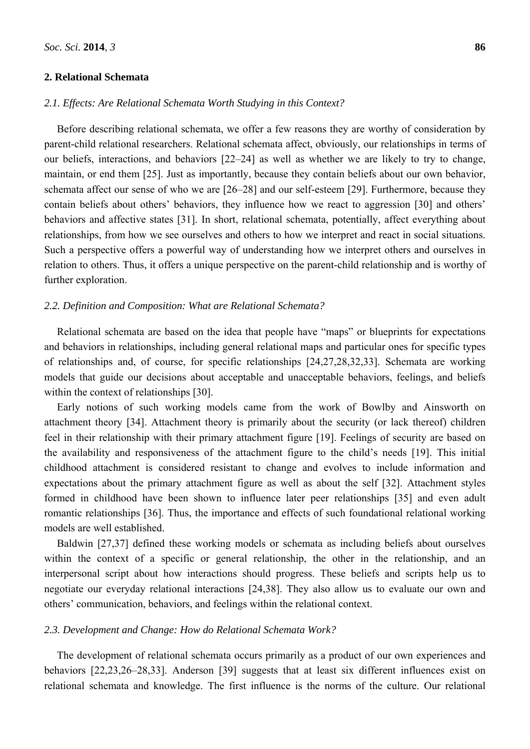### **2. Relational Schemata**

### *2.1. Effects: Are Relational Schemata Worth Studying in this Context?*

Before describing relational schemata, we offer a few reasons they are worthy of consideration by parent-child relational researchers. Relational schemata affect, obviously, our relationships in terms of our beliefs, interactions, and behaviors [22–24] as well as whether we are likely to try to change, maintain, or end them [25]. Just as importantly, because they contain beliefs about our own behavior, schemata affect our sense of who we are [26–28] and our self-esteem [29]. Furthermore, because they contain beliefs about others' behaviors, they influence how we react to aggression [30] and others' behaviors and affective states [31]. In short, relational schemata, potentially, affect everything about relationships, from how we see ourselves and others to how we interpret and react in social situations. Such a perspective offers a powerful way of understanding how we interpret others and ourselves in relation to others. Thus, it offers a unique perspective on the parent-child relationship and is worthy of further exploration.

### *2.2. Definition and Composition: What are Relational Schemata?*

Relational schemata are based on the idea that people have "maps" or blueprints for expectations and behaviors in relationships, including general relational maps and particular ones for specific types of relationships and, of course, for specific relationships [24,27,28,32,33]. Schemata are working models that guide our decisions about acceptable and unacceptable behaviors, feelings, and beliefs within the context of relationships [30].

Early notions of such working models came from the work of Bowlby and Ainsworth on attachment theory [34]. Attachment theory is primarily about the security (or lack thereof) children feel in their relationship with their primary attachment figure [19]. Feelings of security are based on the availability and responsiveness of the attachment figure to the child's needs [19]. This initial childhood attachment is considered resistant to change and evolves to include information and expectations about the primary attachment figure as well as about the self [32]. Attachment styles formed in childhood have been shown to influence later peer relationships [35] and even adult romantic relationships [36]. Thus, the importance and effects of such foundational relational working models are well established.

Baldwin [27,37] defined these working models or schemata as including beliefs about ourselves within the context of a specific or general relationship, the other in the relationship, and an interpersonal script about how interactions should progress. These beliefs and scripts help us to negotiate our everyday relational interactions [24,38]. They also allow us to evaluate our own and others' communication, behaviors, and feelings within the relational context.

#### *2.3. Development and Change: How do Relational Schemata Work?*

The development of relational schemata occurs primarily as a product of our own experiences and behaviors [22,23,26–28,33]. Anderson [39] suggests that at least six different influences exist on relational schemata and knowledge. The first influence is the norms of the culture. Our relational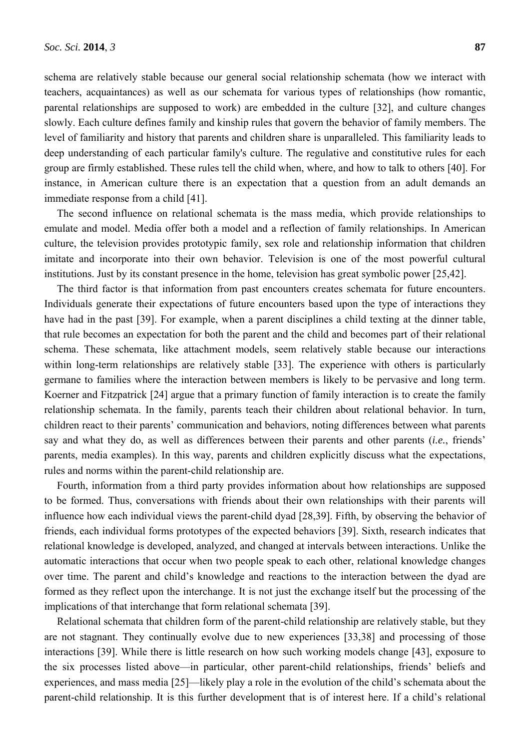slowly. Each culture defines family and kinship rules that govern the behavior of family members. The level of familiarity and history that parents and children share is unparalleled. This familiarity leads to deep understanding of each particular family's culture. The regulative and constitutive rules for each group are firmly established. These rules tell the child when, where, and how to talk to others [40]. For instance, in American culture there is an expectation that a question from an adult demands an immediate response from a child [41].

The second influence on relational schemata is the mass media, which provide relationships to emulate and model. Media offer both a model and a reflection of family relationships. In American culture, the television provides prototypic family, sex role and relationship information that children imitate and incorporate into their own behavior. Television is one of the most powerful cultural institutions. Just by its constant presence in the home, television has great symbolic power [25,42].

The third factor is that information from past encounters creates schemata for future encounters. Individuals generate their expectations of future encounters based upon the type of interactions they have had in the past [39]. For example, when a parent disciplines a child texting at the dinner table, that rule becomes an expectation for both the parent and the child and becomes part of their relational schema. These schemata, like attachment models, seem relatively stable because our interactions within long-term relationships are relatively stable [33]. The experience with others is particularly germane to families where the interaction between members is likely to be pervasive and long term. Koerner and Fitzpatrick [24] argue that a primary function of family interaction is to create the family relationship schemata. In the family, parents teach their children about relational behavior. In turn, children react to their parents' communication and behaviors, noting differences between what parents say and what they do, as well as differences between their parents and other parents (*i.e.*, friends' parents, media examples). In this way, parents and children explicitly discuss what the expectations, rules and norms within the parent-child relationship are.

Fourth, information from a third party provides information about how relationships are supposed to be formed. Thus, conversations with friends about their own relationships with their parents will influence how each individual views the parent-child dyad [28,39]. Fifth, by observing the behavior of friends, each individual forms prototypes of the expected behaviors [39]. Sixth, research indicates that relational knowledge is developed, analyzed, and changed at intervals between interactions. Unlike the automatic interactions that occur when two people speak to each other, relational knowledge changes over time. The parent and child's knowledge and reactions to the interaction between the dyad are formed as they reflect upon the interchange. It is not just the exchange itself but the processing of the implications of that interchange that form relational schemata [39].

Relational schemata that children form of the parent-child relationship are relatively stable, but they are not stagnant. They continually evolve due to new experiences [33,38] and processing of those interactions [39]. While there is little research on how such working models change [43], exposure to the six processes listed above—in particular, other parent-child relationships, friends' beliefs and experiences, and mass media [25]—likely play a role in the evolution of the child's schemata about the parent-child relationship. It is this further development that is of interest here. If a child's relational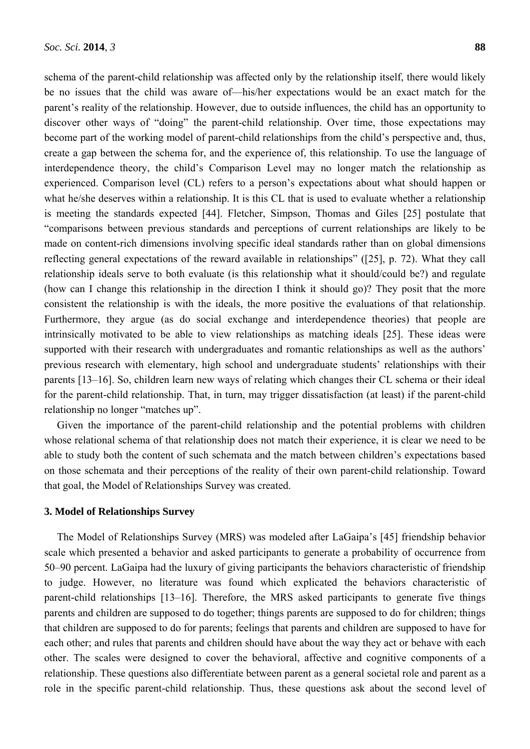schema of the parent-child relationship was affected only by the relationship itself, there would likely be no issues that the child was aware of—his/her expectations would be an exact match for the parent's reality of the relationship. However, due to outside influences, the child has an opportunity to discover other ways of "doing" the parent-child relationship. Over time, those expectations may become part of the working model of parent-child relationships from the child's perspective and, thus, create a gap between the schema for, and the experience of, this relationship. To use the language of interdependence theory, the child's Comparison Level may no longer match the relationship as experienced. Comparison level (CL) refers to a person's expectations about what should happen or what he/she deserves within a relationship. It is this CL that is used to evaluate whether a relationship is meeting the standards expected [44]. Fletcher, Simpson, Thomas and Giles [25] postulate that "comparisons between previous standards and perceptions of current relationships are likely to be made on content-rich dimensions involving specific ideal standards rather than on global dimensions reflecting general expectations of the reward available in relationships" ([25], p. 72). What they call relationship ideals serve to both evaluate (is this relationship what it should/could be?) and regulate (how can I change this relationship in the direction I think it should go)? They posit that the more consistent the relationship is with the ideals, the more positive the evaluations of that relationship. Furthermore, they argue (as do social exchange and interdependence theories) that people are intrinsically motivated to be able to view relationships as matching ideals [25]. These ideas were supported with their research with undergraduates and romantic relationships as well as the authors' previous research with elementary, high school and undergraduate students' relationships with their parents [13–16]. So, children learn new ways of relating which changes their CL schema or their ideal for the parent-child relationship. That, in turn, may trigger dissatisfaction (at least) if the parent-child relationship no longer "matches up".

Given the importance of the parent-child relationship and the potential problems with children whose relational schema of that relationship does not match their experience, it is clear we need to be able to study both the content of such schemata and the match between children's expectations based on those schemata and their perceptions of the reality of their own parent-child relationship. Toward that goal, the Model of Relationships Survey was created.

### **3. Model of Relationships Survey**

The Model of Relationships Survey (MRS) was modeled after LaGaipa's [45] friendship behavior scale which presented a behavior and asked participants to generate a probability of occurrence from 50–90 percent. LaGaipa had the luxury of giving participants the behaviors characteristic of friendship to judge. However, no literature was found which explicated the behaviors characteristic of parent-child relationships [13–16]. Therefore, the MRS asked participants to generate five things parents and children are supposed to do together; things parents are supposed to do for children; things that children are supposed to do for parents; feelings that parents and children are supposed to have for each other; and rules that parents and children should have about the way they act or behave with each other. The scales were designed to cover the behavioral, affective and cognitive components of a relationship. These questions also differentiate between parent as a general societal role and parent as a role in the specific parent-child relationship. Thus, these questions ask about the second level of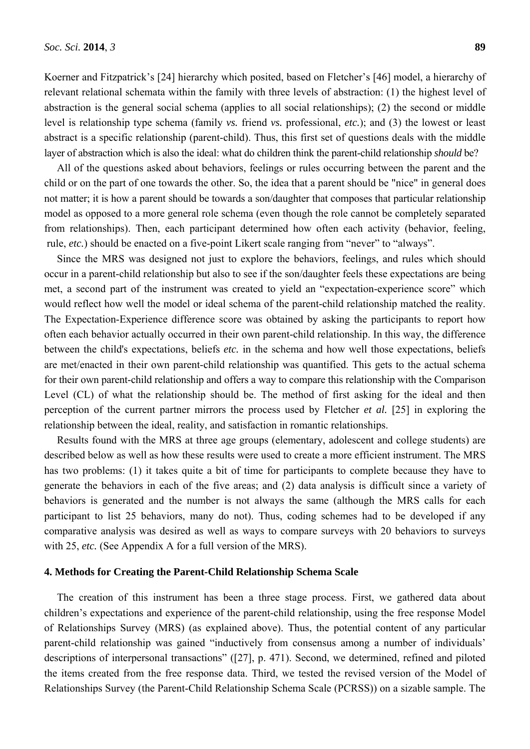Koerner and Fitzpatrick's [24] hierarchy which posited, based on Fletcher's [46] model, a hierarchy of relevant relational schemata within the family with three levels of abstraction: (1) the highest level of abstraction is the general social schema (applies to all social relationships); (2) the second or middle level is relationship type schema (family *vs.* friend *vs.* professional, *etc.*); and (3) the lowest or least abstract is a specific relationship (parent-child). Thus, this first set of questions deals with the middle layer of abstraction which is also the ideal: what do children think the parent-child relationship *should* be?

All of the questions asked about behaviors, feelings or rules occurring between the parent and the child or on the part of one towards the other. So, the idea that a parent should be "nice" in general does not matter; it is how a parent should be towards a son/daughter that composes that particular relationship model as opposed to a more general role schema (even though the role cannot be completely separated from relationships). Then, each participant determined how often each activity (behavior, feeling, rule, *etc.*) should be enacted on a five-point Likert scale ranging from "never" to "always".

Since the MRS was designed not just to explore the behaviors, feelings, and rules which should occur in a parent-child relationship but also to see if the son/daughter feels these expectations are being met, a second part of the instrument was created to yield an "expectation-experience score" which would reflect how well the model or ideal schema of the parent-child relationship matched the reality. The Expectation-Experience difference score was obtained by asking the participants to report how often each behavior actually occurred in their own parent-child relationship. In this way, the difference between the child's expectations, beliefs *etc.* in the schema and how well those expectations, beliefs are met/enacted in their own parent-child relationship was quantified. This gets to the actual schema for their own parent-child relationship and offers a way to compare this relationship with the Comparison Level (CL) of what the relationship should be. The method of first asking for the ideal and then perception of the current partner mirrors the process used by Fletcher *et al.* [25] in exploring the relationship between the ideal, reality, and satisfaction in romantic relationships.

Results found with the MRS at three age groups (elementary, adolescent and college students) are described below as well as how these results were used to create a more efficient instrument. The MRS has two problems: (1) it takes quite a bit of time for participants to complete because they have to generate the behaviors in each of the five areas; and (2) data analysis is difficult since a variety of behaviors is generated and the number is not always the same (although the MRS calls for each participant to list 25 behaviors, many do not). Thus, coding schemes had to be developed if any comparative analysis was desired as well as ways to compare surveys with 20 behaviors to surveys with 25, *etc.* (See Appendix A for a full version of the MRS).

#### **4. Methods for Creating the Parent-Child Relationship Schema Scale**

The creation of this instrument has been a three stage process. First, we gathered data about children's expectations and experience of the parent-child relationship, using the free response Model of Relationships Survey (MRS) (as explained above). Thus, the potential content of any particular parent-child relationship was gained "inductively from consensus among a number of individuals' descriptions of interpersonal transactions" ([27], p. 471). Second, we determined, refined and piloted the items created from the free response data. Third, we tested the revised version of the Model of Relationships Survey (the Parent-Child Relationship Schema Scale (PCRSS)) on a sizable sample. The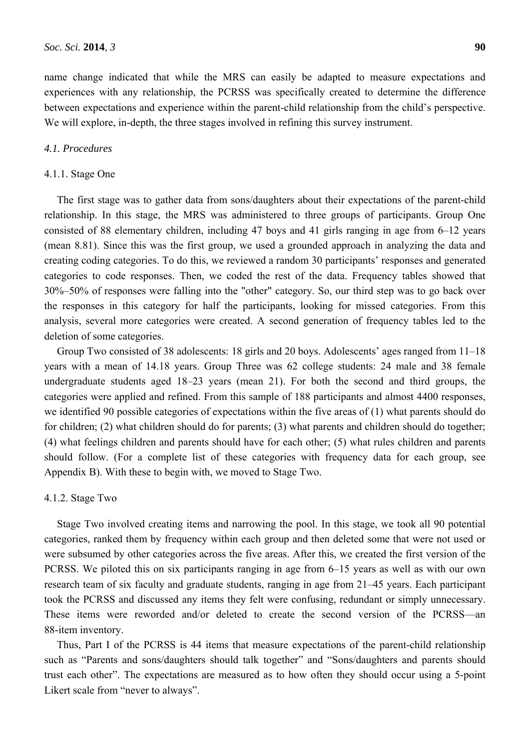name change indicated that while the MRS can easily be adapted to measure expectations and experiences with any relationship, the PCRSS was specifically created to determine the difference between expectations and experience within the parent-child relationship from the child's perspective. We will explore, in-depth, the three stages involved in refining this survey instrument.

### *4.1. Procedures*

#### 4.1.1. Stage One

The first stage was to gather data from sons/daughters about their expectations of the parent-child relationship. In this stage, the MRS was administered to three groups of participants. Group One consisted of 88 elementary children, including 47 boys and 41 girls ranging in age from 6–12 years (mean 8.81). Since this was the first group, we used a grounded approach in analyzing the data and creating coding categories. To do this, we reviewed a random 30 participants' responses and generated categories to code responses. Then, we coded the rest of the data. Frequency tables showed that 30%–50% of responses were falling into the "other" category. So, our third step was to go back over the responses in this category for half the participants, looking for missed categories. From this analysis, several more categories were created. A second generation of frequency tables led to the deletion of some categories.

Group Two consisted of 38 adolescents: 18 girls and 20 boys. Adolescents' ages ranged from 11–18 years with a mean of 14.18 years. Group Three was 62 college students: 24 male and 38 female undergraduate students aged 18–23 years (mean 21). For both the second and third groups, the categories were applied and refined. From this sample of 188 participants and almost 4400 responses, we identified 90 possible categories of expectations within the five areas of (1) what parents should do for children; (2) what children should do for parents; (3) what parents and children should do together; (4) what feelings children and parents should have for each other; (5) what rules children and parents should follow. (For a complete list of these categories with frequency data for each group, see Appendix B). With these to begin with, we moved to Stage Two.

### 4.1.2. Stage Two

Stage Two involved creating items and narrowing the pool. In this stage, we took all 90 potential categories, ranked them by frequency within each group and then deleted some that were not used or were subsumed by other categories across the five areas. After this, we created the first version of the PCRSS. We piloted this on six participants ranging in age from 6–15 years as well as with our own research team of six faculty and graduate students, ranging in age from 21–45 years. Each participant took the PCRSS and discussed any items they felt were confusing, redundant or simply unnecessary. These items were reworded and/or deleted to create the second version of the PCRSS—an 88-item inventory.

Thus, Part I of the PCRSS is 44 items that measure expectations of the parent-child relationship such as "Parents and sons/daughters should talk together" and "Sons/daughters and parents should trust each other". The expectations are measured as to how often they should occur using a 5-point Likert scale from "never to always".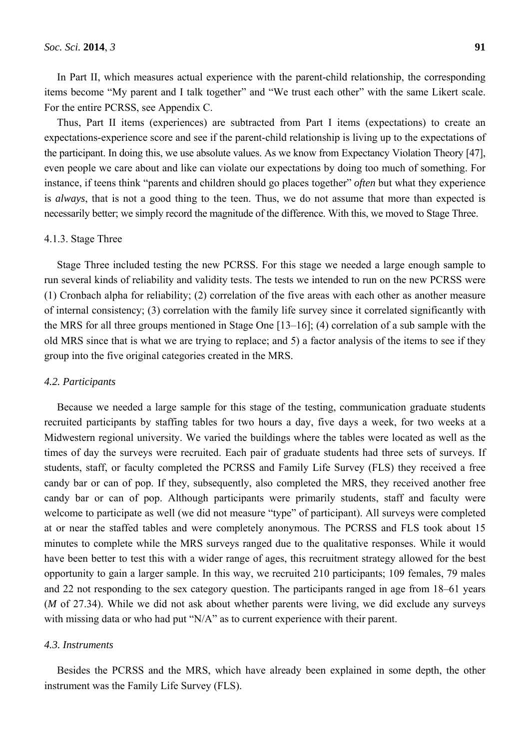In Part II, which measures actual experience with the parent-child relationship, the corresponding items become "My parent and I talk together" and "We trust each other" with the same Likert scale. For the entire PCRSS, see Appendix C.

Thus, Part II items (experiences) are subtracted from Part I items (expectations) to create an expectations-experience score and see if the parent-child relationship is living up to the expectations of the participant. In doing this, we use absolute values. As we know from Expectancy Violation Theory [47], even people we care about and like can violate our expectations by doing too much of something. For instance, if teens think "parents and children should go places together" *often* but what they experience is *always*, that is not a good thing to the teen. Thus, we do not assume that more than expected is necessarily better; we simply record the magnitude of the difference. With this, we moved to Stage Three.

### 4.1.3. Stage Three

Stage Three included testing the new PCRSS. For this stage we needed a large enough sample to run several kinds of reliability and validity tests. The tests we intended to run on the new PCRSS were (1) Cronbach alpha for reliability; (2) correlation of the five areas with each other as another measure of internal consistency; (3) correlation with the family life survey since it correlated significantly with the MRS for all three groups mentioned in Stage One [13–16]; (4) correlation of a sub sample with the old MRS since that is what we are trying to replace; and 5) a factor analysis of the items to see if they group into the five original categories created in the MRS.

#### *4.2. Participants*

Because we needed a large sample for this stage of the testing, communication graduate students recruited participants by staffing tables for two hours a day, five days a week, for two weeks at a Midwestern regional university. We varied the buildings where the tables were located as well as the times of day the surveys were recruited. Each pair of graduate students had three sets of surveys. If students, staff, or faculty completed the PCRSS and Family Life Survey (FLS) they received a free candy bar or can of pop. If they, subsequently, also completed the MRS, they received another free candy bar or can of pop. Although participants were primarily students, staff and faculty were welcome to participate as well (we did not measure "type" of participant). All surveys were completed at or near the staffed tables and were completely anonymous. The PCRSS and FLS took about 15 minutes to complete while the MRS surveys ranged due to the qualitative responses. While it would have been better to test this with a wider range of ages, this recruitment strategy allowed for the best opportunity to gain a larger sample. In this way, we recruited 210 participants; 109 females, 79 males and 22 not responding to the sex category question. The participants ranged in age from 18–61 years (*M* of 27.34). While we did not ask about whether parents were living, we did exclude any surveys with missing data or who had put "N/A" as to current experience with their parent.

#### *4.3. Instruments*

Besides the PCRSS and the MRS, which have already been explained in some depth, the other instrument was the Family Life Survey (FLS).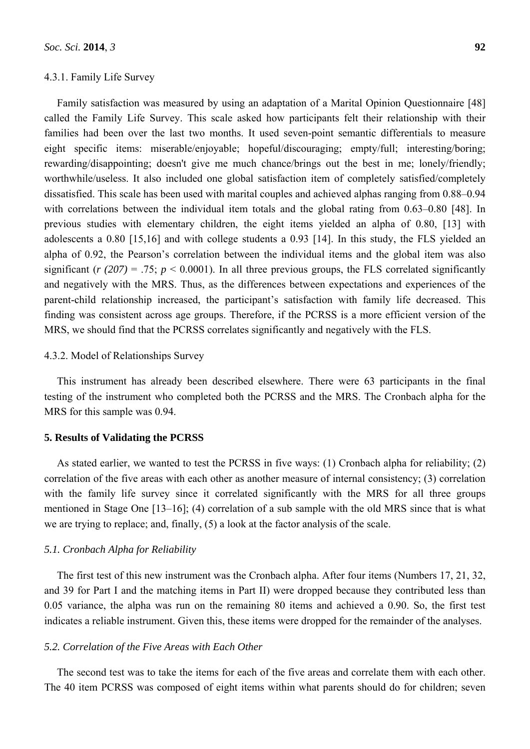### 4.3.1. Family Life Survey

Family satisfaction was measured by using an adaptation of a Marital Opinion Questionnaire [48] called the Family Life Survey. This scale asked how participants felt their relationship with their families had been over the last two months. It used seven-point semantic differentials to measure eight specific items: miserable/enjoyable; hopeful/discouraging; empty/full; interesting/boring; rewarding/disappointing; doesn't give me much chance/brings out the best in me; lonely/friendly; worthwhile/useless. It also included one global satisfaction item of completely satisfied/completely dissatisfied. This scale has been used with marital couples and achieved alphas ranging from 0.88–0.94 with correlations between the individual item totals and the global rating from 0.63–0.80 [48]. In previous studies with elementary children, the eight items yielded an alpha of 0.80, [13] with adolescents a 0.80 [15,16] and with college students a 0.93 [14]. In this study, the FLS yielded an alpha of 0.92, the Pearson's correlation between the individual items and the global item was also significant ( $r(207) = .75$ ;  $p \le 0.0001$ ). In all three previous groups, the FLS correlated significantly and negatively with the MRS. Thus, as the differences between expectations and experiences of the parent-child relationship increased, the participant's satisfaction with family life decreased. This finding was consistent across age groups. Therefore, if the PCRSS is a more efficient version of the MRS, we should find that the PCRSS correlates significantly and negatively with the FLS.

### 4.3.2. Model of Relationships Survey

This instrument has already been described elsewhere. There were 63 participants in the final testing of the instrument who completed both the PCRSS and the MRS. The Cronbach alpha for the MRS for this sample was 0.94.

### **5. Results of Validating the PCRSS**

As stated earlier, we wanted to test the PCRSS in five ways: (1) Cronbach alpha for reliability; (2) correlation of the five areas with each other as another measure of internal consistency; (3) correlation with the family life survey since it correlated significantly with the MRS for all three groups mentioned in Stage One [13–16]; (4) correlation of a sub sample with the old MRS since that is what we are trying to replace; and, finally, (5) a look at the factor analysis of the scale.

### *5.1. Cronbach Alpha for Reliability*

The first test of this new instrument was the Cronbach alpha. After four items (Numbers 17, 21, 32, and 39 for Part I and the matching items in Part II) were dropped because they contributed less than 0.05 variance, the alpha was run on the remaining 80 items and achieved a 0.90. So, the first test indicates a reliable instrument. Given this, these items were dropped for the remainder of the analyses.

### *5.2. Correlation of the Five Areas with Each Other*

The second test was to take the items for each of the five areas and correlate them with each other. The 40 item PCRSS was composed of eight items within what parents should do for children; seven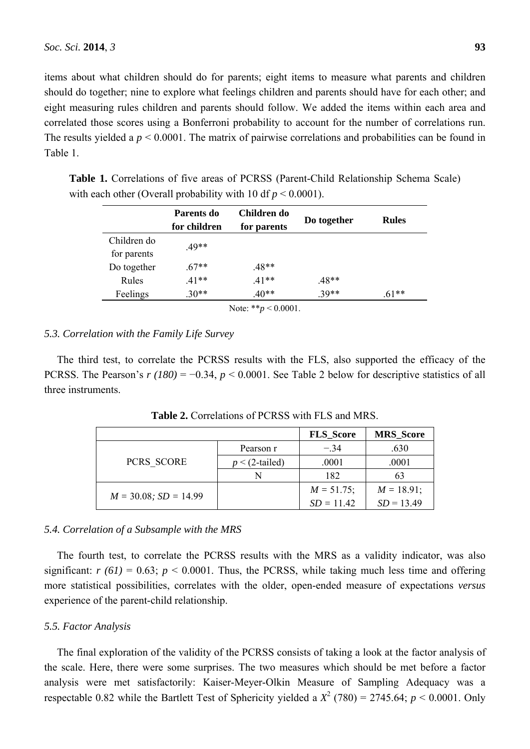items about what children should do for parents; eight items to measure what parents and children should do together; nine to explore what feelings children and parents should have for each other; and eight measuring rules children and parents should follow. We added the items within each area and correlated those scores using a Bonferroni probability to account for the number of correlations run. The results yielded a  $p < 0.0001$ . The matrix of pairwise correlations and probabilities can be found in Table 1.

| Parents do   | Children do |         | <b>Rules</b> |
|--------------|-------------|---------|--------------|
| for children | for parents |         |              |
|              |             |         |              |
|              |             |         |              |
| $67**$       | .48**       |         |              |
| $.41**$      | $.41**$     | $.48**$ |              |
| $30**$       | $.40**$     | $39**$  | $.61**$      |
|              | $.49**$     |         | Do together  |

**Table 1.** Correlations of five areas of PCRSS (Parent-Child Relationship Schema Scale) with each other (Overall probability with 10 df  $p \le 0.0001$ ).

# *5.3. Correlation with the Family Life Survey*

The third test, to correlate the PCRSS results with the FLS, also supported the efficacy of the PCRSS. The Pearson's *r (180)* = −0.34, *p* < 0.0001. See Table 2 below for descriptive statistics of all three instruments.

|                            |                   | <b>FLS</b> Score | <b>MRS</b> Score |
|----------------------------|-------------------|------------------|------------------|
|                            | Pearson r         | $-34$            | .630             |
| PCRS SCORE                 | $p < (2$ -tailed) | .0001            | .0001            |
|                            | N                 | 182              | 63               |
|                            |                   | $M = 51.75$ ;    | $M = 18.91;$     |
| $M = 30.08$ ; $SD = 14.99$ |                   | $SD = 11.42$     | $SD = 13.49$     |

**Table 2.** Correlations of PCRSS with FLS and MRS.

### *5.4. Correlation of a Subsample with the MRS*

The fourth test, to correlate the PCRSS results with the MRS as a validity indicator, was also significant:  $r(61) = 0.63$ ;  $p < 0.0001$ . Thus, the PCRSS, while taking much less time and offering more statistical possibilities, correlates with the older, open-ended measure of expectations *versus* experience of the parent-child relationship.

### *5.5. Factor Analysis*

The final exploration of the validity of the PCRSS consists of taking a look at the factor analysis of the scale. Here, there were some surprises. The two measures which should be met before a factor analysis were met satisfactorily: Kaiser-Meyer-Olkin Measure of Sampling Adequacy was a respectable 0.82 while the Bartlett Test of Sphericity yielded a  $X^2$  (780) = 2745.64;  $p < 0.0001$ . Only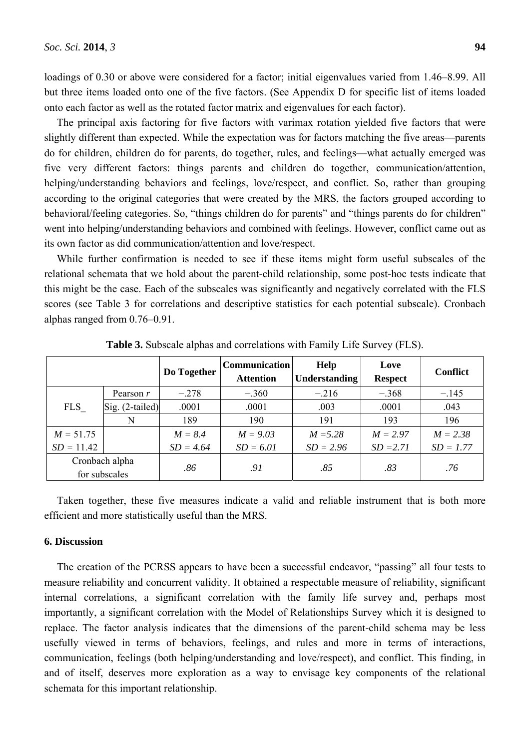loadings of 0.30 or above were considered for a factor; initial eigenvalues varied from 1.46–8.99. All but three items loaded onto one of the five factors. (See Appendix D for specific list of items loaded onto each factor as well as the rotated factor matrix and eigenvalues for each factor).

The principal axis factoring for five factors with varimax rotation yielded five factors that were slightly different than expected. While the expectation was for factors matching the five areas—parents do for children, children do for parents, do together, rules, and feelings—what actually emerged was five very different factors: things parents and children do together, communication/attention, helping/understanding behaviors and feelings, love/respect, and conflict. So, rather than grouping according to the original categories that were created by the MRS, the factors grouped according to behavioral/feeling categories. So, "things children do for parents" and "things parents do for children" went into helping/understanding behaviors and combined with feelings. However, conflict came out as its own factor as did communication/attention and love/respect.

While further confirmation is needed to see if these items might form useful subscales of the relational schemata that we hold about the parent-child relationship, some post-hoc tests indicate that this might be the case. Each of the subscales was significantly and negatively correlated with the FLS scores (see Table 3 for correlations and descriptive statistics for each potential subscale). Cronbach alphas ranged from 0.76–0.91.

|              |                                 | Do Together | <b>Communication</b><br><b>Attention</b> | Help<br>Understanding | Love<br><b>Respect</b> | <b>Conflict</b> |
|--------------|---------------------------------|-------------|------------------------------------------|-----------------------|------------------------|-----------------|
|              | Pearson r                       | $-.278$     | $-.360$                                  | $-.216$               | $-.368$                | $-.145$         |
| <b>FLS</b>   | $\text{Sig.}$ (2-tailed)        | .0001       | .0001                                    | .003                  | .0001                  | .043            |
|              | N                               | 189         | 190                                      | 191                   | 193                    | 196             |
| $M = 51.75$  |                                 | $M = 8.4$   | $M = 9.03$                               | $M = 5.28$            | $M = 2.97$             | $M = 2.38$      |
| $SD = 11.42$ |                                 | $SD = 4.64$ | $SD = 6.01$                              | $SD = 2.96$           | $SD = 2.71$            | $SD = 1.77$     |
|              | Cronbach alpha<br>for subscales | .86         | .91                                      | .85                   | .83                    | .76             |

**Table 3.** Subscale alphas and correlations with Family Life Survey (FLS).

Taken together, these five measures indicate a valid and reliable instrument that is both more efficient and more statistically useful than the MRS.

## **6. Discussion**

The creation of the PCRSS appears to have been a successful endeavor, "passing" all four tests to measure reliability and concurrent validity. It obtained a respectable measure of reliability, significant internal correlations, a significant correlation with the family life survey and, perhaps most importantly, a significant correlation with the Model of Relationships Survey which it is designed to replace. The factor analysis indicates that the dimensions of the parent-child schema may be less usefully viewed in terms of behaviors, feelings, and rules and more in terms of interactions, communication, feelings (both helping/understanding and love/respect), and conflict. This finding, in and of itself, deserves more exploration as a way to envisage key components of the relational schemata for this important relationship.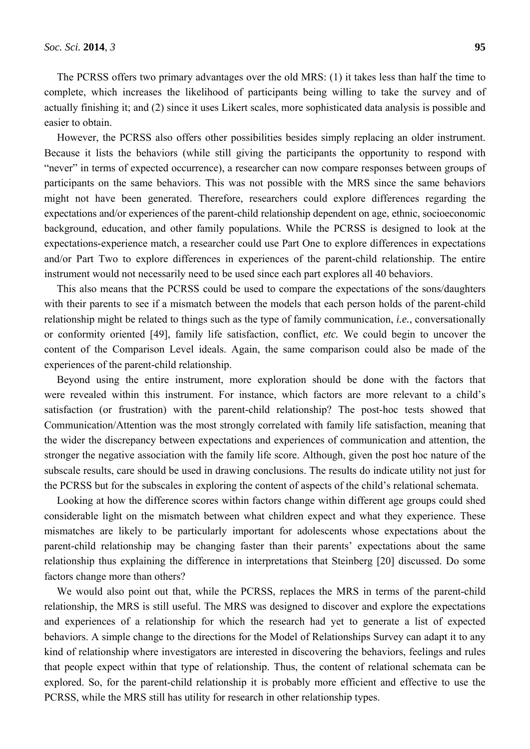The PCRSS offers two primary advantages over the old MRS: (1) it takes less than half the time to complete, which increases the likelihood of participants being willing to take the survey and of actually finishing it; and (2) since it uses Likert scales, more sophisticated data analysis is possible and easier to obtain.

However, the PCRSS also offers other possibilities besides simply replacing an older instrument. Because it lists the behaviors (while still giving the participants the opportunity to respond with "never" in terms of expected occurrence), a researcher can now compare responses between groups of participants on the same behaviors. This was not possible with the MRS since the same behaviors might not have been generated. Therefore, researchers could explore differences regarding the expectations and/or experiences of the parent-child relationship dependent on age, ethnic, socioeconomic background, education, and other family populations. While the PCRSS is designed to look at the expectations-experience match, a researcher could use Part One to explore differences in expectations and/or Part Two to explore differences in experiences of the parent-child relationship. The entire instrument would not necessarily need to be used since each part explores all 40 behaviors.

This also means that the PCRSS could be used to compare the expectations of the sons/daughters with their parents to see if a mismatch between the models that each person holds of the parent-child relationship might be related to things such as the type of family communication, *i.e.*, conversationally or conformity oriented [49], family life satisfaction, conflict, *etc.* We could begin to uncover the content of the Comparison Level ideals. Again, the same comparison could also be made of the experiences of the parent-child relationship.

Beyond using the entire instrument, more exploration should be done with the factors that were revealed within this instrument. For instance, which factors are more relevant to a child's satisfaction (or frustration) with the parent-child relationship? The post-hoc tests showed that Communication/Attention was the most strongly correlated with family life satisfaction, meaning that the wider the discrepancy between expectations and experiences of communication and attention, the stronger the negative association with the family life score. Although, given the post hoc nature of the subscale results, care should be used in drawing conclusions. The results do indicate utility not just for the PCRSS but for the subscales in exploring the content of aspects of the child's relational schemata.

Looking at how the difference scores within factors change within different age groups could shed considerable light on the mismatch between what children expect and what they experience. These mismatches are likely to be particularly important for adolescents whose expectations about the parent-child relationship may be changing faster than their parents' expectations about the same relationship thus explaining the difference in interpretations that Steinberg [20] discussed. Do some factors change more than others?

We would also point out that, while the PCRSS, replaces the MRS in terms of the parent-child relationship, the MRS is still useful. The MRS was designed to discover and explore the expectations and experiences of a relationship for which the research had yet to generate a list of expected behaviors. A simple change to the directions for the Model of Relationships Survey can adapt it to any kind of relationship where investigators are interested in discovering the behaviors, feelings and rules that people expect within that type of relationship. Thus, the content of relational schemata can be explored. So, for the parent-child relationship it is probably more efficient and effective to use the PCRSS, while the MRS still has utility for research in other relationship types.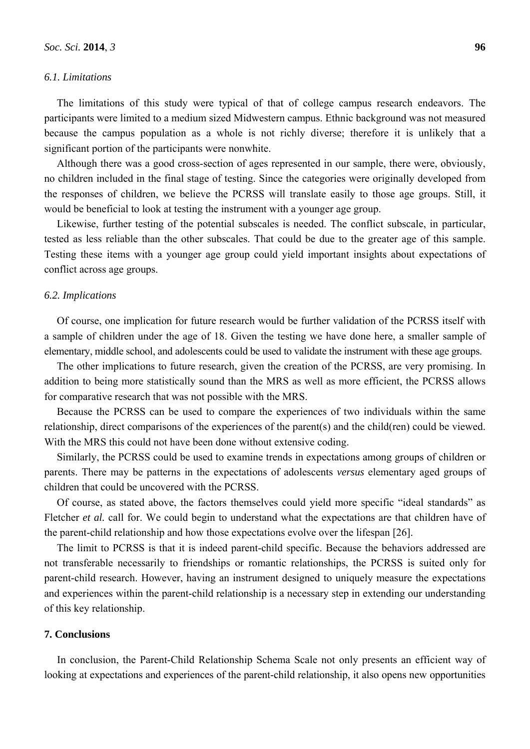### *6.1. Limitations*

The limitations of this study were typical of that of college campus research endeavors. The participants were limited to a medium sized Midwestern campus. Ethnic background was not measured because the campus population as a whole is not richly diverse; therefore it is unlikely that a significant portion of the participants were nonwhite.

Although there was a good cross-section of ages represented in our sample, there were, obviously, no children included in the final stage of testing. Since the categories were originally developed from the responses of children, we believe the PCRSS will translate easily to those age groups. Still, it would be beneficial to look at testing the instrument with a younger age group.

Likewise, further testing of the potential subscales is needed. The conflict subscale, in particular, tested as less reliable than the other subscales. That could be due to the greater age of this sample. Testing these items with a younger age group could yield important insights about expectations of conflict across age groups.

#### *6.2. Implications*

Of course, one implication for future research would be further validation of the PCRSS itself with a sample of children under the age of 18. Given the testing we have done here, a smaller sample of elementary, middle school, and adolescents could be used to validate the instrument with these age groups.

The other implications to future research, given the creation of the PCRSS, are very promising. In addition to being more statistically sound than the MRS as well as more efficient, the PCRSS allows for comparative research that was not possible with the MRS.

Because the PCRSS can be used to compare the experiences of two individuals within the same relationship, direct comparisons of the experiences of the parent(s) and the child(ren) could be viewed. With the MRS this could not have been done without extensive coding.

Similarly, the PCRSS could be used to examine trends in expectations among groups of children or parents. There may be patterns in the expectations of adolescents *versus* elementary aged groups of children that could be uncovered with the PCRSS.

Of course, as stated above, the factors themselves could yield more specific "ideal standards" as Fletcher *et al.* call for. We could begin to understand what the expectations are that children have of the parent-child relationship and how those expectations evolve over the lifespan [26].

The limit to PCRSS is that it is indeed parent-child specific. Because the behaviors addressed are not transferable necessarily to friendships or romantic relationships, the PCRSS is suited only for parent-child research. However, having an instrument designed to uniquely measure the expectations and experiences within the parent-child relationship is a necessary step in extending our understanding of this key relationship.

### **7. Conclusions**

In conclusion, the Parent-Child Relationship Schema Scale not only presents an efficient way of looking at expectations and experiences of the parent-child relationship, it also opens new opportunities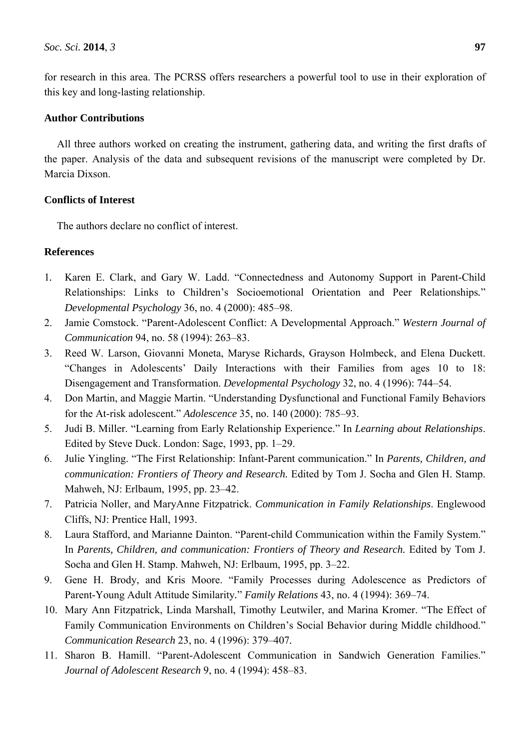for research in this area. The PCRSS offers researchers a powerful tool to use in their exploration of this key and long-lasting relationship.

## **Author Contributions**

All three authors worked on creating the instrument, gathering data, and writing the first drafts of the paper. Analysis of the data and subsequent revisions of the manuscript were completed by Dr. Marcia Dixson.

# **Conflicts of Interest**

The authors declare no conflict of interest.

## **References**

- 1*.* Karen E. Clark, and Gary W. Ladd. "Connectedness and Autonomy Support in Parent-Child Relationships: Links to Children's Socioemotional Orientation and Peer Relationships*.*" *Developmental Psychology* 36, no. 4 (2000): 485–98.
- 2. Jamie Comstock. "Parent-Adolescent Conflict: A Developmental Approach." *Western Journal of Communication* 94, no. 58 (1994): 263–83.
- 3. Reed W. Larson, Giovanni Moneta, Maryse Richards, Grayson Holmbeck, and Elena Duckett. "Changes in Adolescents' Daily Interactions with their Families from ages 10 to 18: Disengagement and Transformation. *Developmental Psychology* 32, no. 4 (1996): 744–54.
- 4. Don Martin, and Maggie Martin. "Understanding Dysfunctional and Functional Family Behaviors for the At-risk adolescent." *Adolescence* 35, no. 140 (2000): 785–93.
- 5. Judi B. Miller. "Learning from Early Relationship Experience." In *Learning about Relationships*. Edited by Steve Duck. London: Sage, 1993, pp. 1–29.
- 6. Julie Yingling. "The First Relationship: Infant-Parent communication." In *Parents, Children, and communication: Frontiers of Theory and Research.* Edited by Tom J. Socha and Glen H. Stamp. Mahweh, NJ: Erlbaum, 1995, pp. 23–42.
- 7. Patricia Noller, and MaryAnne Fitzpatrick. *Communication in Family Relationships*. Englewood Cliffs, NJ: Prentice Hall, 1993.
- 8. Laura Stafford, and Marianne Dainton. "Parent-child Communication within the Family System." In *Parents, Children, and communication: Frontiers of Theory and Research.* Edited by Tom J. Socha and Glen H. Stamp. Mahweh, NJ: Erlbaum, 1995, pp. 3–22.
- 9. Gene H. Brody, and Kris Moore. "Family Processes during Adolescence as Predictors of Parent-Young Adult Attitude Similarity*.*" *Family Relations* 43, no. 4 (1994): 369–74.
- 10. Mary Ann Fitzpatrick, Linda Marshall, Timothy Leutwiler, and Marina Kromer. "The Effect of Family Communication Environments on Children's Social Behavior during Middle childhood." *Communication Research* 23, no. 4 (1996): 379–407*.*
- 11. Sharon B. Hamill. "Parent-Adolescent Communication in Sandwich Generation Families." *Journal of Adolescent Research* 9, no. 4 (1994): 458–83.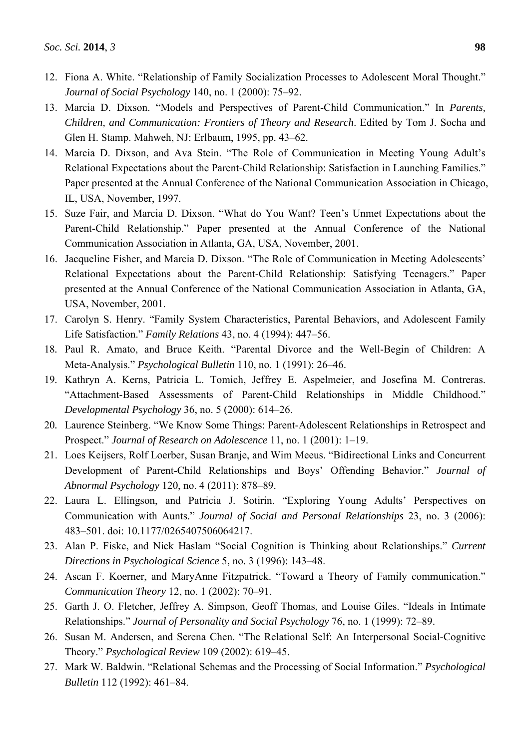- 12. Fiona A. White. "Relationship of Family Socialization Processes to Adolescent Moral Thought." *Journal of Social Psychology* 140, no. 1 (2000): 75–92.
- 13. Marcia D. Dixson. "Models and Perspectives of Parent-Child Communication." In *Parents, Children, and Communication: Frontiers of Theory and Research*. Edited by Tom J. Socha and Glen H. Stamp. Mahweh, NJ: Erlbaum, 1995, pp. 43–62.
- 14. Marcia D. Dixson, and Ava Stein. "The Role of Communication in Meeting Young Adult's Relational Expectations about the Parent-Child Relationship: Satisfaction in Launching Families." Paper presented at the Annual Conference of the National Communication Association in Chicago, IL, USA, November, 1997.
- 15. Suze Fair, and Marcia D. Dixson. "What do You Want? Teen's Unmet Expectations about the Parent-Child Relationship." Paper presented at the Annual Conference of the National Communication Association in Atlanta, GA, USA, November, 2001.
- 16. Jacqueline Fisher, and Marcia D. Dixson. "The Role of Communication in Meeting Adolescents' Relational Expectations about the Parent-Child Relationship: Satisfying Teenagers." Paper presented at the Annual Conference of the National Communication Association in Atlanta, GA, USA, November, 2001.
- 17. Carolyn S. Henry. "Family System Characteristics, Parental Behaviors, and Adolescent Family Life Satisfaction." *Family Relations* 43, no. 4 (1994): 447–56.
- 18*.* Paul R. Amato, and Bruce Keith. "Parental Divorce and the Well-Begin of Children: A Meta-Analysis." *Psychological Bulletin* 110, no. 1 (1991): 26–46.
- 19*.* Kathryn A. Kerns, Patricia L. Tomich, Jeffrey E. Aspelmeier, and Josefina M. Contreras. "Attachment-Based Assessments of Parent-Child Relationships in Middle Childhood." *Developmental Psychology* 36, no. 5 (2000): 614–26.
- 20*.* Laurence Steinberg. "We Know Some Things: Parent-Adolescent Relationships in Retrospect and Prospect." *Journal of Research on Adolescence* 11, no. 1 (2001): 1–19.
- 21. Loes Keijsers, Rolf Loerber, Susan Branje, and Wim Meeus. "Bidirectional Links and Concurrent Development of Parent-Child Relationships and Boys' Offending Behavior." *Journal of Abnormal Psychology* 120, no. 4 (2011): 878–89.
- 22. Laura L. Ellingson, and Patricia J. Sotirin. "Exploring Young Adults' Perspectives on Communication with Aunts." *Journal of Social and Personal Relationships* 23, no. 3 (2006): 483–501. doi: 10.1177/0265407506064217.
- 23. Alan P. Fiske, and Nick Haslam "Social Cognition is Thinking about Relationships." *Current Directions in Psychological Science* 5, no. 3 (1996): 143–48.
- 24. Ascan F. Koerner, and MaryAnne Fitzpatrick. "Toward a Theory of Family communication." *Communication Theory* 12, no. 1 (2002): 70–91.
- 25. Garth J. O. Fletcher, Jeffrey A. Simpson, Geoff Thomas, and Louise Giles. "Ideals in Intimate Relationships." *Journal of Personality and Social Psychology* 76, no. 1 (1999): 72–89.
- 26. Susan M. Andersen, and Serena Chen. "The Relational Self: An Interpersonal Social-Cognitive Theory." *Psychological Review* 109 (2002): 619–45.
- 27. Mark W. Baldwin. "Relational Schemas and the Processing of Social Information." *Psychological Bulletin* 112 (1992): 461–84.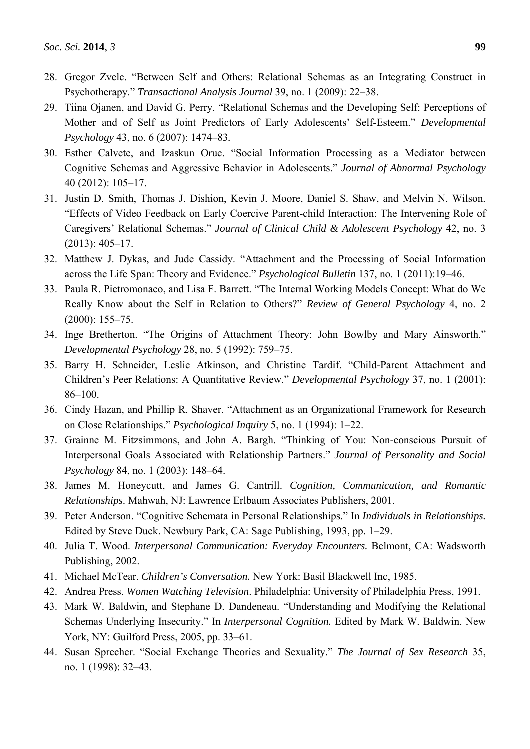- 28. Gregor Zvelc. "Between Self and Others: Relational Schemas as an Integrating Construct in Psychotherapy." *Transactional Analysis Journal* 39, no. 1 (2009): 22–38.
- 29. Tiina Ojanen, and David G. Perry. "Relational Schemas and the Developing Self: Perceptions of Mother and of Self as Joint Predictors of Early Adolescents' Self-Esteem." *Developmental Psychology* 43, no. 6 (2007): 1474–83*.*
- 30. Esther Calvete, and Izaskun Orue. "Social Information Processing as a Mediator between Cognitive Schemas and Aggressive Behavior in Adolescents." *Journal of Abnormal Psychology*  40 (2012): 105–17.
- 31. Justin D. Smith, Thomas J. Dishion, Kevin J. Moore, Daniel S. Shaw, and Melvin N. Wilson. "Effects of Video Feedback on Early Coercive Parent-child Interaction: The Intervening Role of Caregivers' Relational Schemas." *Journal of Clinical Child & Adolescent Psychology* 42, no. 3 (2013): 405–17.
- 32. Matthew J. Dykas, and Jude Cassidy. "Attachment and the Processing of Social Information across the Life Span: Theory and Evidence." *Psychological Bulletin* 137, no. 1 (2011):19–46.
- 33. Paula R. Pietromonaco, and Lisa F. Barrett. "The Internal Working Models Concept: What do We Really Know about the Self in Relation to Others?" *Review of General Psychology* 4, no. 2 (2000): 155–75.
- 34. Inge Bretherton. "The Origins of Attachment Theory: John Bowlby and Mary Ainsworth." *Developmental Psychology* 28, no. 5 (1992): 759–75.
- 35. Barry H. Schneider, Leslie Atkinson, and Christine Tardif. "Child-Parent Attachment and Children's Peer Relations: A Quantitative Review." *Developmental Psychology* 37, no. 1 (2001): 86–100.
- 36. Cindy Hazan, and Phillip R. Shaver. "Attachment as an Organizational Framework for Research on Close Relationships." *Psychological Inquiry* 5, no. 1 (1994): 1–22.
- 37. Grainne M. Fitzsimmons, and John A. Bargh. "Thinking of You: Non-conscious Pursuit of Interpersonal Goals Associated with Relationship Partners." *Journal of Personality and Social Psychology* 84, no. 1 (2003): 148–64.
- 38. James M. Honeycutt, and James G. Cantrill. *Cognition, Communication, and Romantic Relationships*. Mahwah, NJ: Lawrence Erlbaum Associates Publishers, 2001.
- 39. Peter Anderson. "Cognitive Schemata in Personal Relationships." In *Individuals in Relationships.*  Edited by Steve Duck. Newbury Park, CA: Sage Publishing, 1993, pp. 1–29.
- 40. Julia T. Wood. *Interpersonal Communication: Everyday Encounters.* Belmont, CA: Wadsworth Publishing, 2002.
- 41. Michael McTear. *Children's Conversation.* New York: Basil Blackwell Inc, 1985.
- 42. Andrea Press. *Women Watching Television*. Philadelphia: University of Philadelphia Press, 1991.
- 43. Mark W. Baldwin, and Stephane D. Dandeneau. "Understanding and Modifying the Relational Schemas Underlying Insecurity." In *Interpersonal Cognition.* Edited by Mark W. Baldwin. New York, NY: Guilford Press, 2005, pp. 33–61.
- 44. Susan Sprecher. "Social Exchange Theories and Sexuality." *The Journal of Sex Research* 35, no. 1 (1998): 32–43.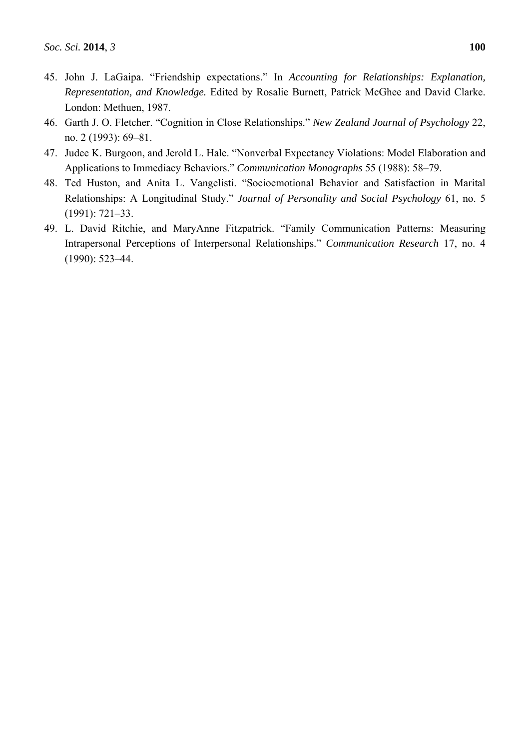- 45. John J. LaGaipa. "Friendship expectations." In *Accounting for Relationships: Explanation, Representation, and Knowledge.* Edited by Rosalie Burnett, Patrick McGhee and David Clarke. London: Methuen, 1987.
- 46. Garth J. O. Fletcher. "Cognition in Close Relationships." *New Zealand Journal of Psychology* 22, no. 2 (1993): 69–81.
- 47. Judee K. Burgoon, and Jerold L. Hale. "Nonverbal Expectancy Violations: Model Elaboration and Applications to Immediacy Behaviors." *Communication Monographs* 55 (1988): 58–79.
- 48. Ted Huston, and Anita L. Vangelisti. "Socioemotional Behavior and Satisfaction in Marital Relationships: A Longitudinal Study." *Journal of Personality and Social Psychology* 61, no. 5 (1991): 721–33.
- 49. L. David Ritchie, and MaryAnne Fitzpatrick. "Family Communication Patterns: Measuring Intrapersonal Perceptions of Interpersonal Relationships." *Communication Research* 17, no. 4 (1990): 523–44.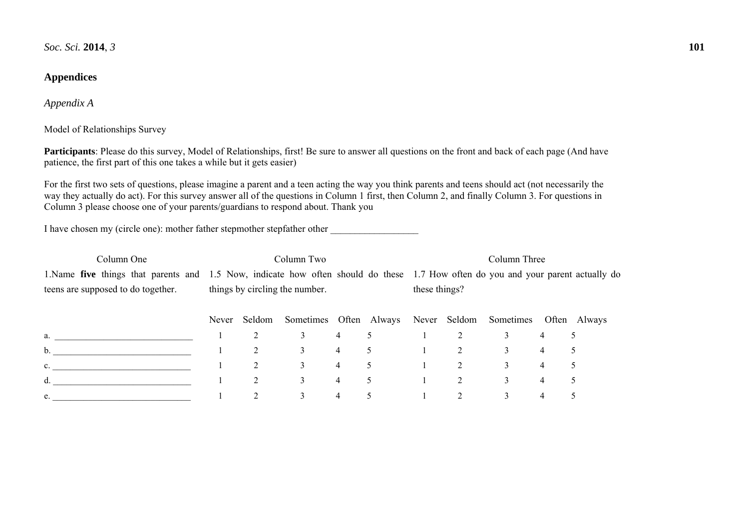# **Appendices**

*Appendix A* 

Model of Relationships Survey

**Participants**: Please do this survey, Model of Relationships, first! Be sure to answer all questions on the front and back of each page (And have patience, the first part of this one takes a while but it gets easier)

For the first two sets of questions, please imagine a parent and a teen acting the way you think parents and teens should act (not necessarily the way they actually do act). For this survey answer all of the questions in Column 1 first, then Column 2, and finally Column 3. For questions in Column 3 please choose one of your parents/guardians to respond about. Thank you

I have chosen my (circle one): mother father stepmother stepfather other

| Column One                         |       | Column Two                     |           |   |                           | Column Three                                                                                                                     |   |           |                |              |  |
|------------------------------------|-------|--------------------------------|-----------|---|---------------------------|----------------------------------------------------------------------------------------------------------------------------------|---|-----------|----------------|--------------|--|
|                                    |       |                                |           |   |                           | 1.Name five things that parents and 1.5 Now, indicate how often should do these 1.7 How often do you and your parent actually do |   |           |                |              |  |
| teens are supposed to do together. |       | things by circling the number. |           |   |                           | these things?                                                                                                                    |   |           |                |              |  |
|                                    | Never | Seldom                         | Sometimes |   | Often Always Never Seldom |                                                                                                                                  |   | Sometimes |                | Often Always |  |
| a.                                 |       | 2                              |           | 4 |                           |                                                                                                                                  |   | 3         | 4              |              |  |
| $\mathbf b$ .                      |       | 2                              | 3         | 4 |                           |                                                                                                                                  |   | 3         | 4              | 5            |  |
| c.                                 |       | 2                              | 3         | 4 |                           |                                                                                                                                  | 2 | 3         | $\overline{4}$ | 5            |  |
| d.                                 |       | 2                              | 3         | 4 |                           |                                                                                                                                  |   | 3         | $\overline{4}$ |              |  |
| e.                                 |       | ↑                              |           | 4 |                           |                                                                                                                                  |   | 3         | 4              |              |  |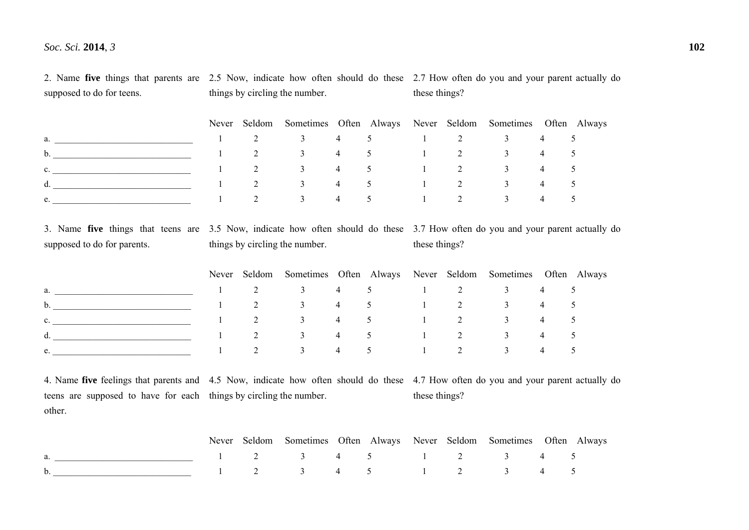2. Name **five** things that parents are 2.5 Now, indicate how often should do these 2.7 How often do you and your parent actually do supposed to do for teens. things by circling the number. these things?

|                |  |  |  | Never Seldom Sometimes Often Always Never Seldom Sometimes Often Always |  |
|----------------|--|--|--|-------------------------------------------------------------------------|--|
| $a.$ $a.$      |  |  |  | $1 \t2 \t3 \t4 \t5 \t1 \t2 \t3 \t4 \t5$                                 |  |
| $\mathbf{b}$ . |  |  |  | $1 \t2 \t3 \t4 \t5 \t1 \t2 \t3 \t4 \t5$                                 |  |
| $\mathbf{C}$ . |  |  |  | $1 \t2 \t3 \t4 \t5 \t1 \t2 \t3 \t4 \t5$                                 |  |
| $\mathbf{d}$ . |  |  |  | $1 \t2 \t3 \t4 \t5 \t1 \t2 \t3 \t4 \t5$                                 |  |
| e.             |  |  |  | $1 \t2 \t3 \t4 \t5 \t1 \t2 \t3 \t4 \t5$                                 |  |

3. Name **five** things that teens are 3.5 Now, indicate how often should do these 3.7 How often do you and your parent actually do supposed to do for parents. things by circling the number. these things?

|                    |  | Never Seldom Sometimes Often Always Never Seldom Sometimes Often Always |  |  |  |  |
|--------------------|--|-------------------------------------------------------------------------|--|--|--|--|
| $a.$ and $a.$      |  | $1 \t2 \t3 \t4 \t5 \t1 \t2 \t3 \t4 \t5$                                 |  |  |  |  |
| b. $\qquad \qquad$ |  | $1 \t2 \t3 \t4 \t5 \t1 \t2 \t3 \t4 \t5$                                 |  |  |  |  |
| $\mathbf{C}$ .     |  | $1 \t 2 \t 3 \t 4 \t 5 \t 1 \t 2 \t 3 \t 4 \t 5$                        |  |  |  |  |
| $\mathbf{d}$ .     |  | $1 \t2 \t3 \t4 \t5 \t1 \t2 \t3 \t4 \t5$                                 |  |  |  |  |
| e.                 |  | 2 3 4 5 1 2 3 4 5                                                       |  |  |  |  |

4. Name **five** feelings that parents and 4.5 Now, indicate how often should do these 4.7 How often do you and your parent actually do teens are supposed to have for each things by circling the number. other. these things?

|                                         |  |  |  | Never Seldom Sometimes Often Always Never Seldom Sometimes Often Always |  |
|-----------------------------------------|--|--|--|-------------------------------------------------------------------------|--|
| 1 2 3 4 5 1 2 3 4 5                     |  |  |  |                                                                         |  |
| $1 \t2 \t3 \t4 \t5 \t1 \t2 \t3 \t4 \t5$ |  |  |  |                                                                         |  |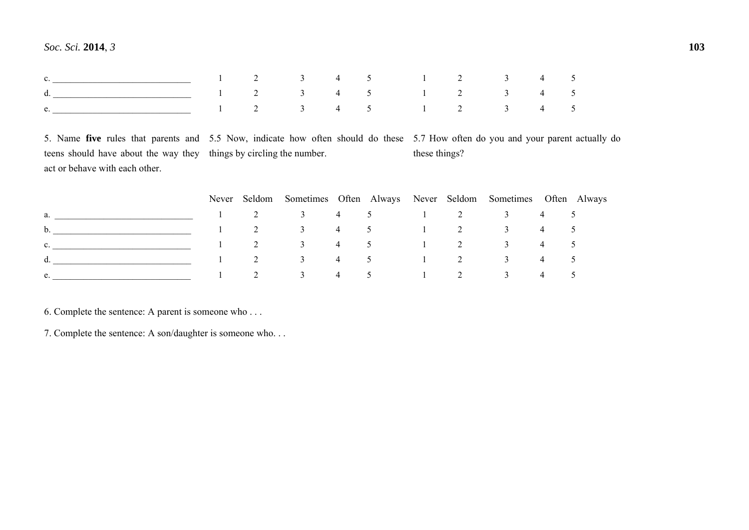| e. 1 2 3 4 5 1 2 3 4 5 |  |  |  |  |  |
|------------------------|--|--|--|--|--|

5. Name **five** rules that parents and 5.5 Now, indicate how often should do these 5.7 How often do you and your parent actually do teens should have about the way they things by circling the number. act or behave with each other. these things?

|                |  |  |  | Never Seldom Sometimes Often Always Never Seldom Sometimes Often Always |  |
|----------------|--|--|--|-------------------------------------------------------------------------|--|
| $a.$ and $a.$  |  |  |  | $1 \t 2 \t 3 \t 4 \t 5 \t 1 \t 2 \t 3 \t 4 \t 5$                        |  |
| $\mathbf{b}$ . |  |  |  | $1 \t2 \t3 \t4 \t5 \t1 \t2 \t3 \t4 \t5$                                 |  |
| $\mathbf{C}$ . |  |  |  | $1 \t2 \t3 \t4 \t5 \t1 \t2 \t3 \t4 \t5$                                 |  |
| d.             |  |  |  | $1 \t 2 \t 3 \t 4 \t 5 \t 1 \t 2 \t 3 \t 4 \t 5$                        |  |
| $e_{\cdot}$    |  |  |  | 2 3 4 5 1 2 3 4 5                                                       |  |

6. Complete the sentence: A parent is someone who . . .

7. Complete the sentence: A son/daughter is someone who. . .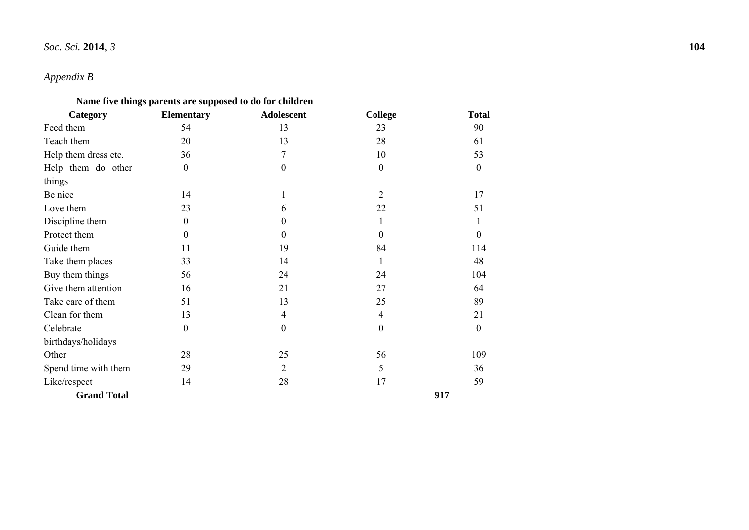# *Appendix B*

## **Name five things parents are supposed to do for children**

| Category             | <b>Elementary</b> | <b>Adolescent</b> | <b>College</b>   | <b>Total</b> |
|----------------------|-------------------|-------------------|------------------|--------------|
| Feed them            | 54                | 13                | 23               | 90           |
| Teach them           | 20                | 13                | 28               | 61           |
| Help them dress etc. | 36                | 7                 | 10               | 53           |
| Help them do other   | $\boldsymbol{0}$  | $\boldsymbol{0}$  | $\mathbf{0}$     | $\mathbf{0}$ |
| things               |                   |                   |                  |              |
| Be nice              | 14                | 1                 | 2                | 17           |
| Love them            | 23                | 6                 | 22               | 51           |
| Discipline them      | $\mathbf{0}$      | 0                 | 1                | 1            |
| Protect them         | $\mathbf{0}$      | $\theta$          | $\mathbf{0}$     | $\Omega$     |
| Guide them           | 11                | 19                | 84               | 114          |
| Take them places     | 33                | 14                | 1                | 48           |
| Buy them things      | 56                | 24                | 24               | 104          |
| Give them attention  | 16                | 21                | 27               | 64           |
| Take care of them    | 51                | 13                | 25               | 89           |
| Clean for them       | 13                | 4                 | $\overline{4}$   | 21           |
| Celebrate            | $\mathbf{0}$      | $\mathbf{0}$      | $\boldsymbol{0}$ | $\mathbf{0}$ |
| birthdays/holidays   |                   |                   |                  |              |
| Other                | 28                | 25                | 56               | 109          |
| Spend time with them | 29                | $\overline{2}$    | 5                | 36           |
| Like/respect         | 14                | 28                | 17               | 59           |
| <b>Grand Total</b>   |                   |                   |                  | 917          |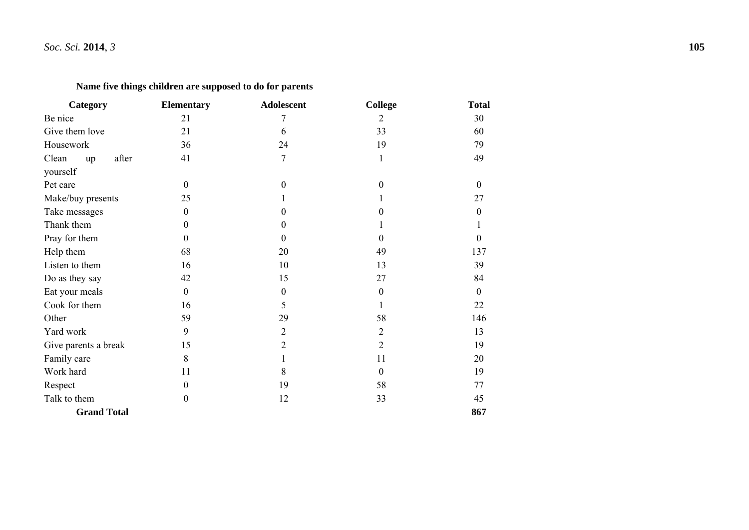# **Name five things children are supposed to do for parents**

| Category             | <b>Elementary</b> | Adolescent       | <b>College</b>   | <b>Total</b> |
|----------------------|-------------------|------------------|------------------|--------------|
| Be nice              | 21                | 7                | $\overline{2}$   | 30           |
| Give them love       | 21                | 6                | 33               | 60           |
| Housework            | 36                | 24               | 19               | 79           |
| Clean<br>after<br>up | 41                | $\overline{7}$   | $\mathbf{1}$     | 49           |
| yourself             |                   |                  |                  |              |
| Pet care             | $\overline{0}$    | $\theta$         | $\Omega$         | $\theta$     |
| Make/buy presents    | 25                |                  |                  | 27           |
| Take messages        | $\mathbf{0}$      | $\theta$         | $\theta$         | 0            |
| Thank them           | $\Omega$          | $\Omega$         |                  |              |
| Pray for them        | $\Omega$          | $\Omega$         | $\Omega$         | 0            |
| Help them            | 68                | 20               | 49               | 137          |
| Listen to them       | 16                | 10               | 13               | 39           |
| Do as they say       | 42                | 15               | 27               | 84           |
| Eat your meals       | $\overline{0}$    | $\boldsymbol{0}$ | $\boldsymbol{0}$ | $\mathbf{0}$ |
| Cook for them        | 16                | 5                |                  | 22           |
| Other                | 59                | 29               | 58               | 146          |
| Yard work            | 9                 | $\overline{2}$   | $\overline{2}$   | 13           |
| Give parents a break | 15                | $\overline{2}$   | $\overline{2}$   | 19           |
| Family care          | 8                 |                  | 11               | 20           |
| Work hard            | 11                | 8                | $\mathbf{0}$     | 19           |
| Respect              | $\overline{0}$    | 19               | 58               | 77           |
| Talk to them         | $\mathbf{0}$      | 12               | 33               | 45           |
| <b>Grand Total</b>   |                   |                  |                  | 867          |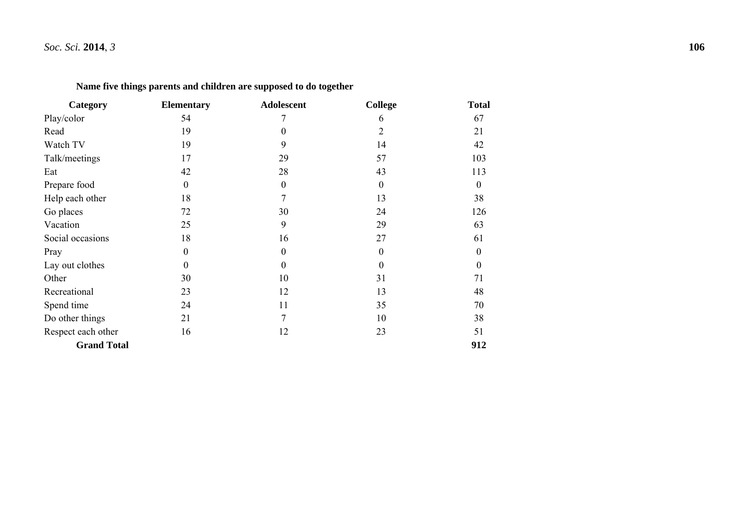| Category           | <b>Elementary</b> | <b>Adolescent</b> | <b>College</b>   | <b>Total</b>     |
|--------------------|-------------------|-------------------|------------------|------------------|
| Play/color         | 54                |                   | 6                | 67               |
| Read               | 19                | $\boldsymbol{0}$  | $\overline{2}$   | 21               |
| Watch TV           | 19                | 9                 | 14               | 42               |
| Talk/meetings      | 17                | 29                | 57               | 103              |
| Eat                | 42                | 28                | 43               | 113              |
| Prepare food       | $\boldsymbol{0}$  | $\boldsymbol{0}$  | $\boldsymbol{0}$ | $\boldsymbol{0}$ |
| Help each other    | 18                | 7                 | 13               | 38               |
| Go places          | 72                | 30                | 24               | 126              |
| Vacation           | 25                | 9                 | 29               | 63               |
| Social occasions   | 18                | 16                | 27               | 61               |
| Pray               | $\boldsymbol{0}$  | $\boldsymbol{0}$  | $\boldsymbol{0}$ | $\boldsymbol{0}$ |
| Lay out clothes    | $\overline{0}$    | $\boldsymbol{0}$  | $\boldsymbol{0}$ | $\boldsymbol{0}$ |
| Other              | 30                | 10                | 31               | 71               |
| Recreational       | 23                | 12                | 13               | 48               |
| Spend time         | 24                | 11                | 35               | 70               |
| Do other things    | 21                | 7                 | 10               | 38               |
| Respect each other | 16                | 12                | 23               | 51               |
| <b>Grand Total</b> |                   |                   |                  | 912              |

# **Name five things parents and children are supposed to do together**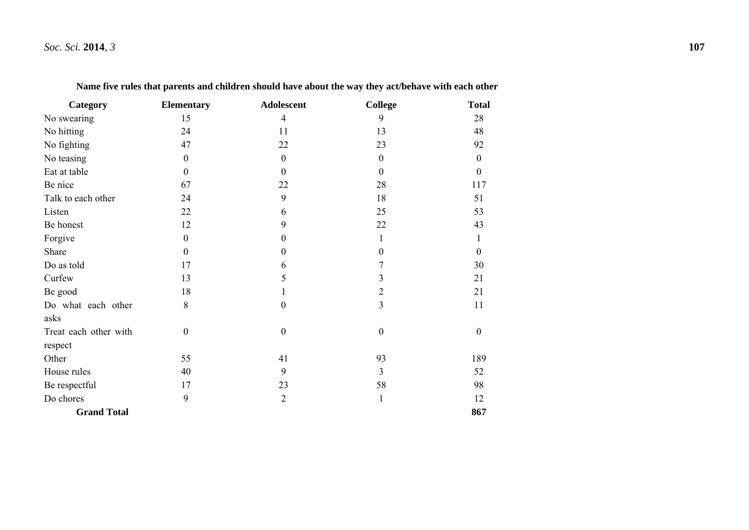| Category              | <b>Elementary</b> | Adolescent       | <b>College</b>   | <b>Total</b>     |
|-----------------------|-------------------|------------------|------------------|------------------|
| No swearing           | 15                | $\overline{4}$   | 9                | 28               |
| No hitting            | 24                | 11               | 13               | 48               |
| No fighting           | 47                | 22               | 23               | 92               |
| No teasing            | $\boldsymbol{0}$  | $\boldsymbol{0}$ | $\boldsymbol{0}$ | $\boldsymbol{0}$ |
| Eat at table          | $\boldsymbol{0}$  | $\boldsymbol{0}$ | $\boldsymbol{0}$ | $\boldsymbol{0}$ |
| Be nice               | 67                | 22               | 28               | 117              |
| Talk to each other    | 24                | 9                | 18               | 51               |
| Listen                | 22                | 6                | 25               | 53               |
| Be honest             | 12                | 9                | 22               | 43               |
| Forgive               | $\mathbf{0}$      | $\boldsymbol{0}$ | 1                | 1                |
| Share                 | $\overline{0}$    | 0                | $\boldsymbol{0}$ | 0                |
| Do as told            | 17                | 6                | 7                | 30               |
| Curfew                | 13                | 5                | 3                | 21               |
| Be good               | 18                |                  | $\overline{c}$   | 21               |
| Do what each other    | 8                 | $\theta$         | 3                | 11               |
| asks                  |                   |                  |                  |                  |
| Treat each other with | $\boldsymbol{0}$  | $\boldsymbol{0}$ | $\boldsymbol{0}$ | $\boldsymbol{0}$ |
| respect               |                   |                  |                  |                  |
| Other                 | 55                | 41               | 93               | 189              |
| House rules           | 40                | 9                | 3                | 52               |
| Be respectful         | 17                | 23               | 58               | 98               |
| Do chores             | 9                 | $\sqrt{2}$       | $\mathbf{1}$     | 12               |
| <b>Grand Total</b>    |                   |                  |                  | 867              |

**Name five rules that parents and children should have about the way they act/behave with each other**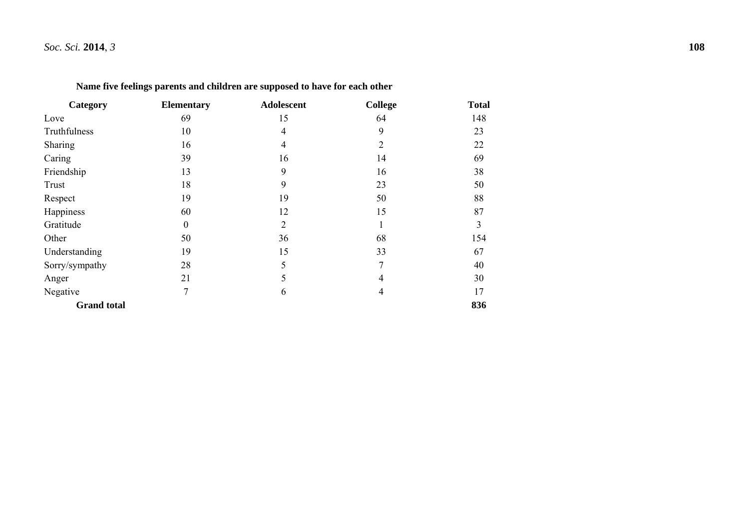| Category           | <b>Elementary</b> | <b>Adolescent</b> | <b>College</b> | <b>Total</b> |
|--------------------|-------------------|-------------------|----------------|--------------|
| Love               | 69                | 15                | 64             | 148          |
| Truthfulness       | 10                | $\overline{4}$    | 9              | 23           |
| Sharing            | 16                | $\overline{4}$    | $\overline{2}$ | 22           |
| Caring             | 39                | 16                | 14             | 69           |
| Friendship         | 13                | 9                 | 16<br>23       | 38<br>50     |
| Trust              | 18                | 9                 |                |              |
| Respect            | 19                | 19                | 50             | 88           |
| Happiness          | 60                | 12                | 15             | 87           |
| Gratitude          | $\boldsymbol{0}$  | $\overline{2}$    | $\mathbf{1}$   | 3            |
| Other              | 50                | 36                | 68             | 154          |
| Understanding      | 19                | 15                | 33             | 67           |
| Sorry/sympathy     | 28                | 5                 | $\overline{7}$ | 40           |
| Anger              | 21                | 5                 | 4              | 30           |
| Negative           | 7                 | 6                 | 4              | 17           |
| <b>Grand</b> total |                   |                   |                | 836          |

**Name five feelings parents and children are supposed to have for each other**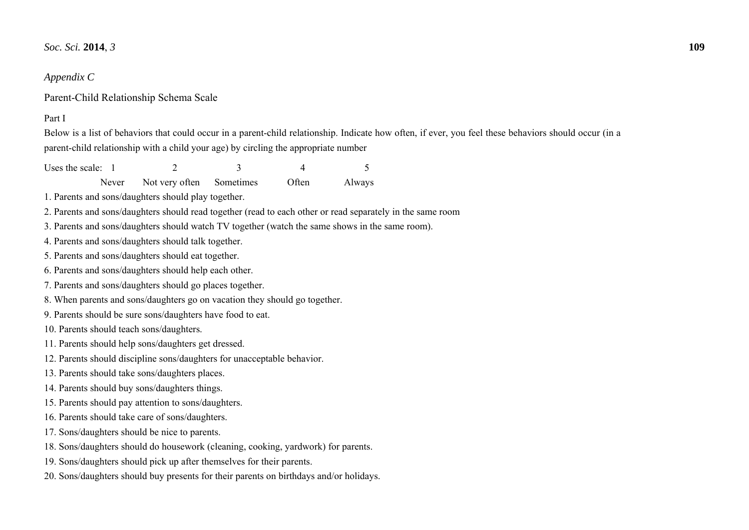### *Appendix C*

Parent-Child Relationship Schema Scale

### Part I

Below is a list of behaviors that could occur in a parent-child relationship. Indicate how often, if ever, you feel these behaviors should occur (in a parent-child relationship with a child your age) by circling the appropriate number

Uses the scale:  $\begin{array}{ccc} 1 & 2 & 3 & 4 \end{array}$  5

Never Not very often Sometimes Often Always

2. Parents and sons/daughters should read together (read to each other or read separately in the same room

3. Parents and sons/daughters should watch TV together (watch the same shows in the same room).

- 4. Parents and sons/daughters should talk together.
- 5. Parents and sons/daughters should eat together.

6. Parents and sons/daughters should help each other.

- 7. Parents and sons/daughters should go places together.
- 8. When parents and sons/daughters go on vacation they should go together.

9. Parents should be sure sons/daughters have food to eat.

- 10. Parents should teach sons/daughters.
- 11. Parents should help sons/daughters get dressed.
- 12. Parents should discipline sons/daughters for unacceptable behavior.
- 13. Parents should take sons/daughters places.
- 14. Parents should buy sons/daughters things.
- 15. Parents should pay attention to sons/daughters.
- 16. Parents should take care of sons/daughters.
- 17. Sons/daughters should be nice to parents.
- 18. Sons/daughters should do housework (cleaning, cooking, yardwork) for parents.
- 19. Sons/daughters should pick up after themselves for their parents.
- 20. Sons/daughters should buy presents for their parents on birthdays and/or holidays.

<sup>1.</sup> Parents and sons/daughters should play together.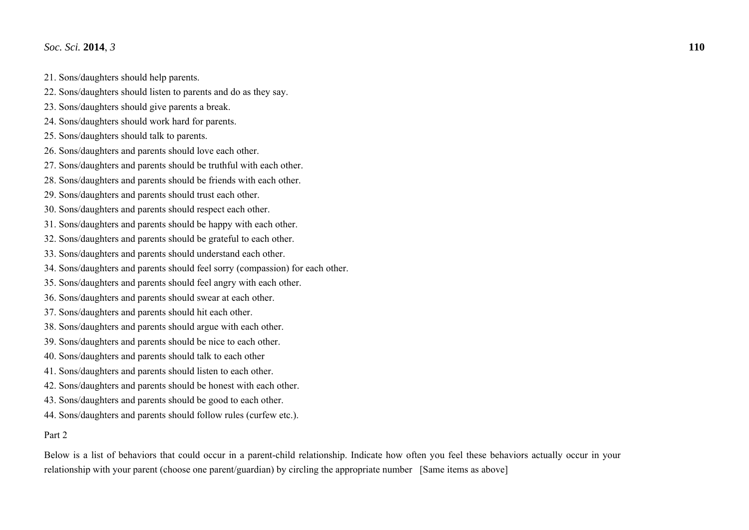- 21. Sons/daughters should help parents.
- 22. Sons/daughters should listen to parents and do as they say.
- 23. Sons/daughters should give parents a break.
- 24. Sons/daughters should work hard for parents.
- 25. Sons/daughters should talk to parents.
- 26. Sons/daughters and parents should love each other.
- 27. Sons/daughters and parents should be truthful with each other.
- 28. Sons/daughters and parents should be friends with each other.
- 29. Sons/daughters and parents should trust each other.
- 30. Sons/daughters and parents should respect each other.
- 31. Sons/daughters and parents should be happy with each other.
- 32. Sons/daughters and parents should be grateful to each other.
- 33. Sons/daughters and parents should understand each other.
- 34. Sons/daughters and parents should feel sorry (compassion) for each other.
- 35. Sons/daughters and parents should feel angry with each other.
- 36. Sons/daughters and parents should swear at each other.
- 37. Sons/daughters and parents should hit each other.
- 38. Sons/daughters and parents should argue with each other.
- 39. Sons/daughters and parents should be nice to each other.
- 40. Sons/daughters and parents should talk to each other
- 41. Sons/daughters and parents should listen to each other.
- 42. Sons/daughters and parents should be honest with each other.
- 43. Sons/daughters and parents should be good to each other.
- 44. Sons/daughters and parents should follow rules (curfew etc.).

## Part 2

Below is a list of behaviors that could occur in a parent-child relationship. Indicate how often you feel these behaviors actually occur in your relationship with your parent (choose one parent/guardian) by circling the appropriate number [Same items as above]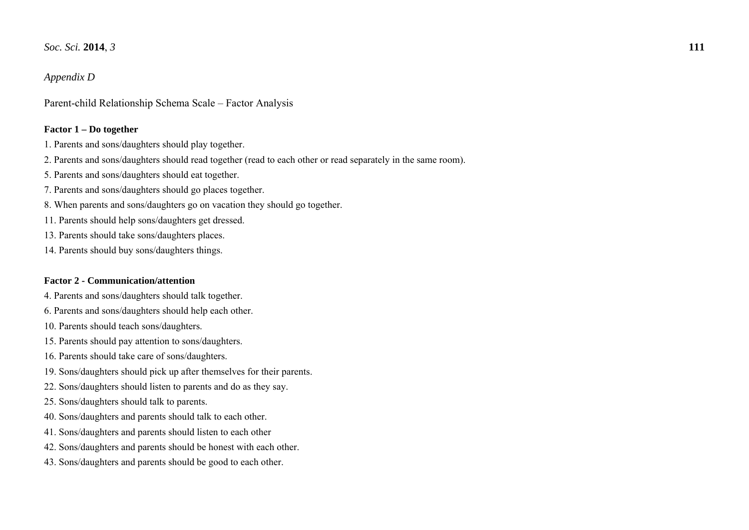## *Appendix D*

Parent-child Relationship Schema Scale – Factor Analysis

### **Factor 1 – Do together**

- 1. Parents and sons/daughters should play together.
- 2. Parents and sons/daughters should read together (read to each other or read separately in the same room).
- 5. Parents and sons/daughters should eat together.
- 7. Parents and sons/daughters should go places together.
- 8. When parents and sons/daughters go on vacation they should go together.
- 11. Parents should help sons/daughters get dressed.
- 13. Parents should take sons/daughters places.
- 14. Parents should buy sons/daughters things.

### **Factor 2 - Communication/attention**

- 4. Parents and sons/daughters should talk together.
- 6. Parents and sons/daughters should help each other.
- 10. Parents should teach sons/daughters.
- 15. Parents should pay attention to sons/daughters.
- 16. Parents should take care of sons/daughters.
- 19. Sons/daughters should pick up after themselves for their parents.
- 22. Sons/daughters should listen to parents and do as they say.
- 25. Sons/daughters should talk to parents.
- 40. Sons/daughters and parents should talk to each other.
- 41. Sons/daughters and parents should listen to each other
- 42. Sons/daughters and parents should be honest with each other.
- 43. Sons/daughters and parents should be good to each other.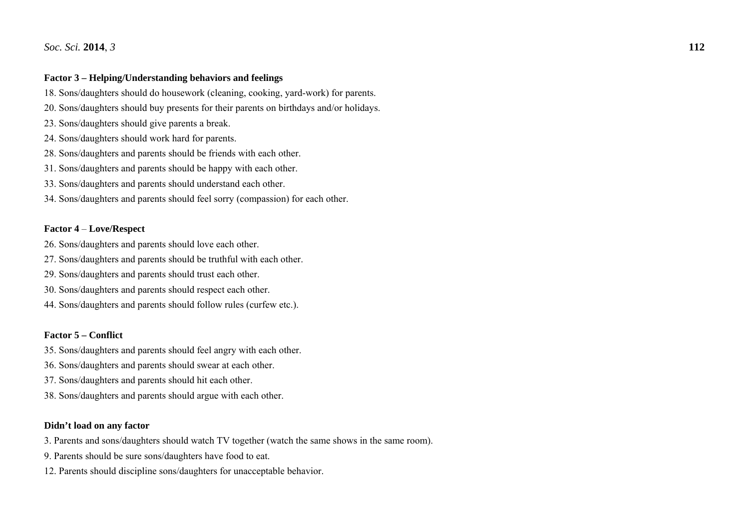### **Factor 3 – Helping/Understanding behaviors and feelings**

18. Sons/daughters should do housework (cleaning, cooking, yard-work) for parents.

- 20. Sons/daughters should buy presents for their parents on birthdays and/or holidays.
- 23. Sons/daughters should give parents a break.
- 24. Sons/daughters should work hard for parents.
- 28. Sons/daughters and parents should be friends with each other.
- 31. Sons/daughters and parents should be happy with each other.
- 33. Sons/daughters and parents should understand each other.
- 34. Sons/daughters and parents should feel sorry (compassion) for each other.

### **Factor 4** – **Love/Respect**

- 26. Sons/daughters and parents should love each other.
- 27. Sons/daughters and parents should be truthful with each other.
- 29. Sons/daughters and parents should trust each other.
- 30. Sons/daughters and parents should respect each other.
- 44. Sons/daughters and parents should follow rules (curfew etc.).

### **Factor 5 – Conflict**

- 35. Sons/daughters and parents should feel angry with each other.
- 36. Sons/daughters and parents should swear at each other.
- 37. Sons/daughters and parents should hit each other.
- 38. Sons/daughters and parents should argue with each other.

### **Didn't load on any factor**

- 3. Parents and sons/daughters should watch TV together (watch the same shows in the same room).
- 9. Parents should be sure sons/daughters have food to eat.
- 12. Parents should discipline sons/daughters for unacceptable behavior.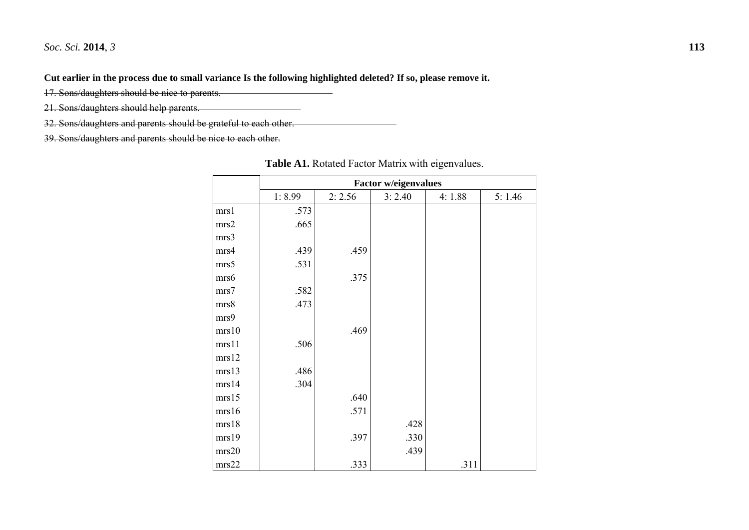**Cut earlier in the process due to small variance Is the following highlighted deleted? If so, please remove it.** 

17. Sons/daughters should be nice to parents.

21. Sons/daughters should help parents.

32. Sons/daughters and parents should be grateful to each other.

39. Sons/daughters and parents should be nice to each other.

|       | <b>Factor w/eigenvalues</b> |        |        |        |        |
|-------|-----------------------------|--------|--------|--------|--------|
|       | 1:8.99                      | 2:2.56 | 3:2.40 | 4:1.88 | 5:1.46 |
| mrs1  | .573                        |        |        |        |        |
| mrs2  | .665                        |        |        |        |        |
| mrs3  |                             |        |        |        |        |
| mrs4  | .439                        | .459   |        |        |        |
| mrs5  | .531                        |        |        |        |        |
| mrs6  |                             | .375   |        |        |        |
| mrs7  | .582                        |        |        |        |        |
| mrs8  | .473                        |        |        |        |        |
| mrs9  |                             |        |        |        |        |
| mrs10 |                             | .469   |        |        |        |
| mrs11 | .506                        |        |        |        |        |
| mrs12 |                             |        |        |        |        |
| mrs13 | .486                        |        |        |        |        |
| mrs14 | .304                        |        |        |        |        |
| mrs15 |                             | .640   |        |        |        |
| mrs16 |                             | .571   |        |        |        |
| mrs18 |                             |        | .428   |        |        |
| mrs19 |                             | .397   | .330   |        |        |
| mrs20 |                             |        | .439   |        |        |
| mrs22 |                             | .333   |        | .311   |        |

**Table A1.** Rotated Factor Matrix with eigenvalues.